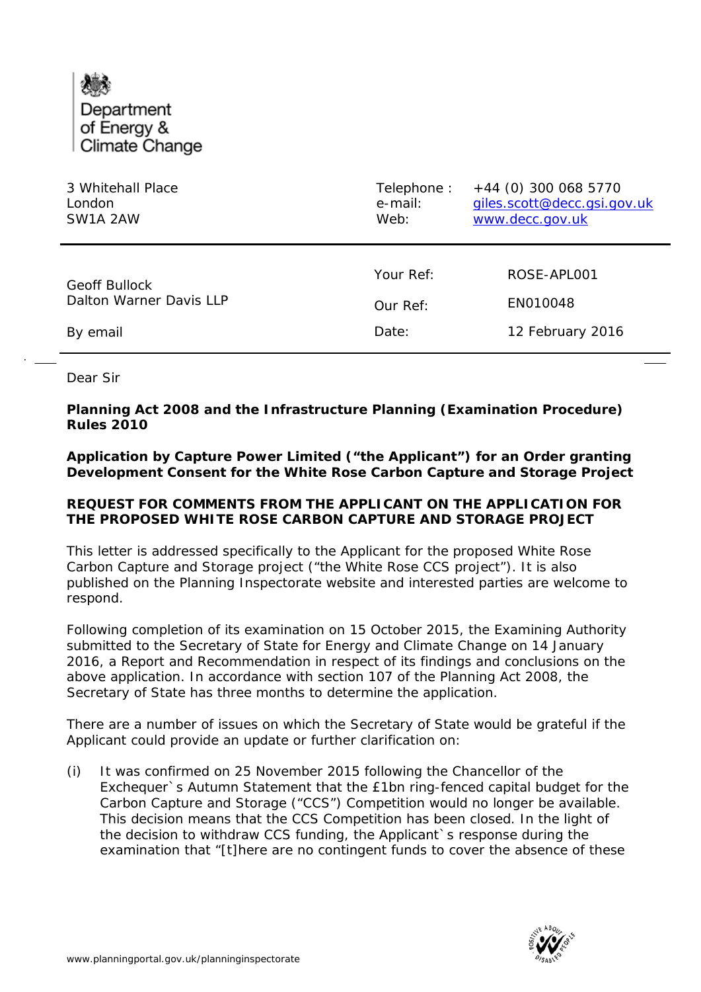

| 3 Whitehall Place       | Telephone: | +44 (0) 300 068 5770        |
|-------------------------|------------|-----------------------------|
| London                  | e-mail:    | giles.scott@decc.gsi.gov.uk |
| SW1A 2AW                | Web:       | www.decc.gov.uk             |
| <b>Geoff Bullock</b>    | Your Ref:  | ROSE-APLO01                 |
| Dalton Warner Davis LLP | Our Ref:   | EN010048                    |
| By email                | Date:      | 12 February 2016            |

Dear Sir

## **Planning Act 2008 and the Infrastructure Planning (Examination Procedure) Rules 2010**

**Application by Capture Power Limited ("the Applicant") for an Order granting Development Consent for the White Rose Carbon Capture and Storage Project**

## **REQUEST FOR COMMENTS FROM THE APPLICANT ON THE APPLICATION FOR THE PROPOSED WHITE ROSE CARBON CAPTURE AND STORAGE PROJECT**

This letter is addressed specifically to the Applicant for the proposed White Rose Carbon Capture and Storage project ("the White Rose CCS project"). It is also published on the Planning Inspectorate website and interested parties are welcome to respond.

Following completion of its examination on 15 October 2015, the Examining Authority submitted to the Secretary of State for Energy and Climate Change on 14 January 2016, a Report and Recommendation in respect of its findings and conclusions on the above application. In accordance with section 107 of the Planning Act 2008, the Secretary of State has three months to determine the application.

There are a number of issues on which the Secretary of State would be grateful if the Applicant could provide an update or further clarification on:

(i) It was confirmed on 25 November 2015 following the Chancellor of the Exchequer`s Autumn Statement that the £1bn ring-fenced capital budget for the Carbon Capture and Storage ("CCS") Competition would no longer be available. This decision means that the CCS Competition has been closed. In the light of the decision to withdraw CCS funding, the Applicant`s response during the examination that "[t]here are no contingent funds to cover the absence of these